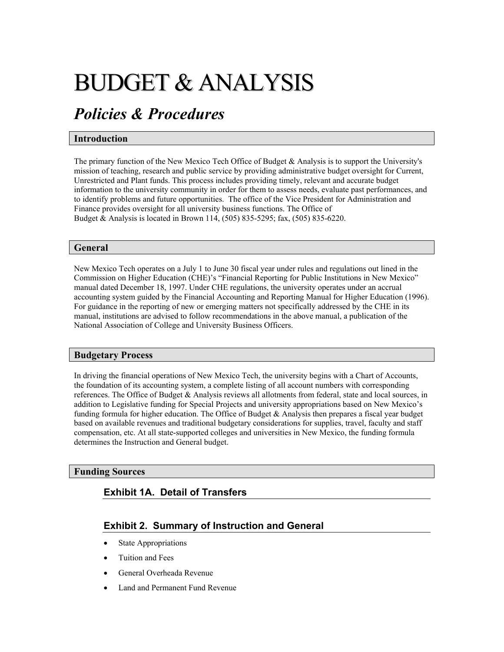# BUDGET & ANALYSIS

## *Policies & Procedures*

#### **Introduction**

The primary function of the New Mexico Tech Office of Budget & Analysis is to support the University's mission of teaching, research and public service by providing administrative budget oversight for Current, Unrestricted and Plant funds. This process includes providing timely, relevant and accurate budget information to the university community in order for them to assess needs, evaluate past performances, and to identify problems and future opportunities. The office of the Vice President for Administration and Finance provides oversight for all university business functions. The Office of Budget & Analysis is located in Brown 114, (505) 835-5295; fax, (505) 835-6220.

#### **General**

New Mexico Tech operates on a July 1 to June 30 fiscal year under rules and regulations out lined in the Commission on Higher Education (CHE)'s "Financial Reporting for Public Institutions in New Mexico" manual dated December 18, 1997. Under CHE regulations, the university operates under an accrual accounting system guided by the Financial Accounting and Reporting Manual for Higher Education (1996). For guidance in the reporting of new or emerging matters not specifically addressed by the CHE in its manual, institutions are advised to follow recommendations in the above manual, a publication of the National Association of College and University Business Officers.

#### **Budgetary Process**

In driving the financial operations of New Mexico Tech, the university begins with a Chart of Accounts, the foundation of its accounting system, a complete listing of all account numbers with corresponding references. The Office of Budget & Analysis reviews all allotments from federal, state and local sources, in addition to Legislative funding for Special Projects and university appropriations based on New Mexico's funding formula for higher education. The Office of Budget  $\&$  Analysis then prepares a fiscal year budget based on available revenues and traditional budgetary considerations for supplies, travel, faculty and staff compensation, etc. At all state-supported colleges and universities in New Mexico, the funding formula determines the Instruction and General budget.

#### **Funding Sources**

#### **Exhibit 1A. Detail of Transfers**

#### **Exhibit 2. Summary of Instruction and General**

- **State Appropriations**
- Tuition and Fees
- General Overheada Revenue
- Land and Permanent Fund Revenue